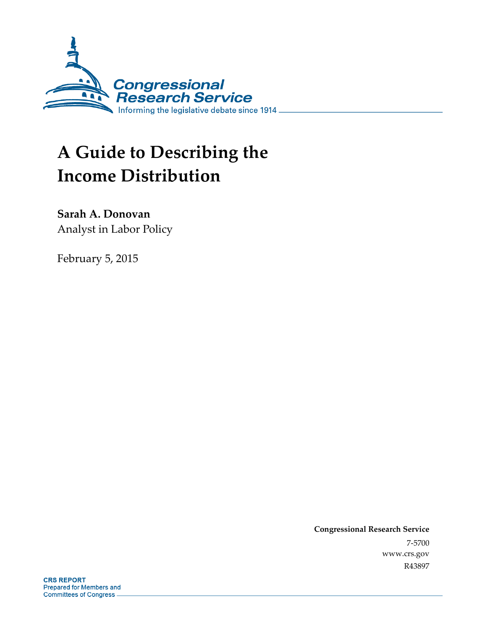

# **A Guide to Describing the Income Distribution**

**Sarah A. Donovan**  Analyst in Labor Policy

February 5, 2015

**Congressional Research Service**  7-5700 www.crs.gov R43897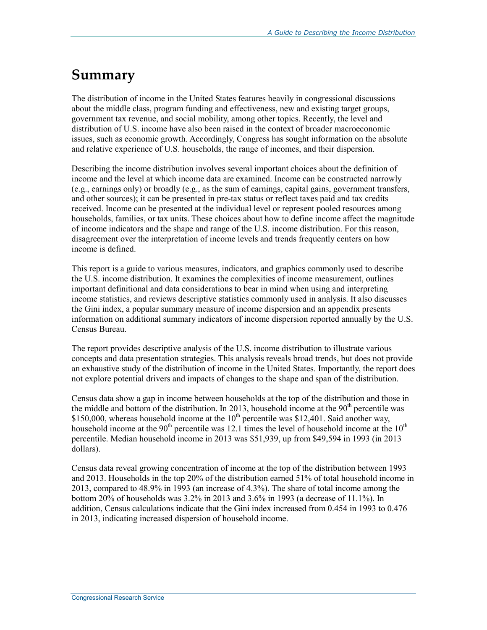## **Summary**

The distribution of income in the United States features heavily in congressional discussions about the middle class, program funding and effectiveness, new and existing target groups, government tax revenue, and social mobility, among other topics. Recently, the level and distribution of U.S. income have also been raised in the context of broader macroeconomic issues, such as economic growth. Accordingly, Congress has sought information on the absolute and relative experience of U.S. households, the range of incomes, and their dispersion.

Describing the income distribution involves several important choices about the definition of income and the level at which income data are examined. Income can be constructed narrowly (e.g., earnings only) or broadly (e.g., as the sum of earnings, capital gains, government transfers, and other sources); it can be presented in pre-tax status or reflect taxes paid and tax credits received. Income can be presented at the individual level or represent pooled resources among households, families, or tax units. These choices about how to define income affect the magnitude of income indicators and the shape and range of the U.S. income distribution. For this reason, disagreement over the interpretation of income levels and trends frequently centers on how income is defined.

This report is a guide to various measures, indicators, and graphics commonly used to describe the U.S. income distribution. It examines the complexities of income measurement, outlines important definitional and data considerations to bear in mind when using and interpreting income statistics, and reviews descriptive statistics commonly used in analysis. It also discusses the Gini index, a popular summary measure of income dispersion and an appendix presents information on additional summary indicators of income dispersion reported annually by the U.S. Census Bureau.

The report provides descriptive analysis of the U.S. income distribution to illustrate various concepts and data presentation strategies. This analysis reveals broad trends, but does not provide an exhaustive study of the distribution of income in the United States. Importantly, the report does not explore potential drivers and impacts of changes to the shape and span of the distribution.

Census data show a gap in income between households at the top of the distribution and those in the middle and bottom of the distribution. In 2013, household income at the  $90<sup>th</sup>$  percentile was \$150,000, whereas household income at the  $10^{th}$  percentile was \$12,401. Said another way, household income at the  $90<sup>th</sup>$  percentile was 12.1 times the level of household income at the  $10<sup>th</sup>$ percentile. Median household income in 2013 was \$51,939, up from \$49,594 in 1993 (in 2013 dollars).

Census data reveal growing concentration of income at the top of the distribution between 1993 and 2013. Households in the top 20% of the distribution earned 51% of total household income in 2013, compared to 48.9% in 1993 (an increase of 4.3%). The share of total income among the bottom 20% of households was 3.2% in 2013 and 3.6% in 1993 (a decrease of 11.1%). In addition, Census calculations indicate that the Gini index increased from 0.454 in 1993 to 0.476 in 2013, indicating increased dispersion of household income.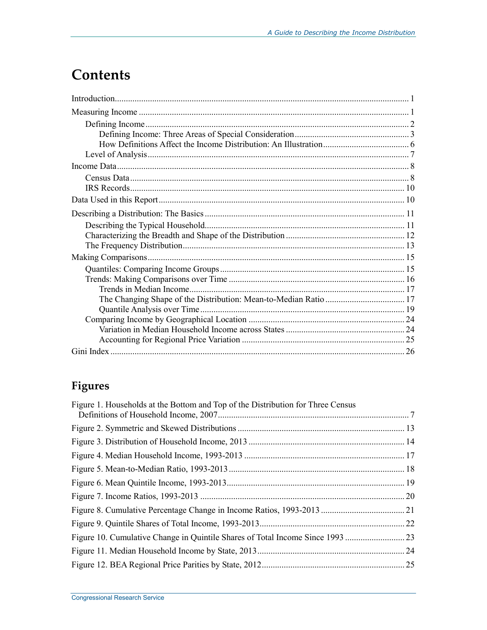## **Contents**

## Figures

| Figure 1. Households at the Bottom and Top of the Distribution for Three Census |  |
|---------------------------------------------------------------------------------|--|
|                                                                                 |  |
|                                                                                 |  |
|                                                                                 |  |
|                                                                                 |  |
|                                                                                 |  |
|                                                                                 |  |
|                                                                                 |  |
|                                                                                 |  |
|                                                                                 |  |
|                                                                                 |  |
|                                                                                 |  |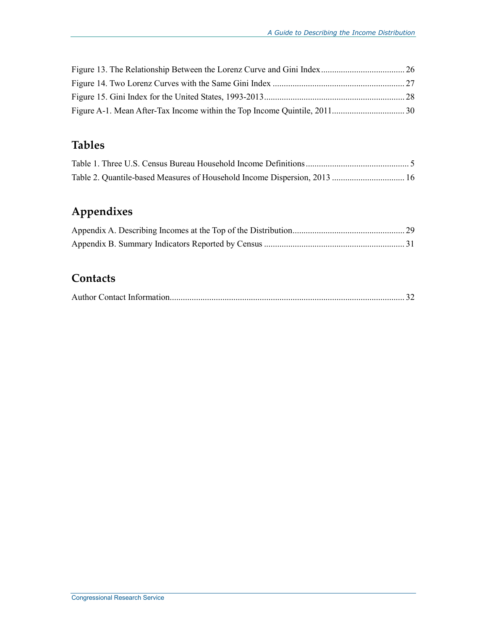### **Tables**

## **Appendixes**

## **Contacts**

|--|--|--|--|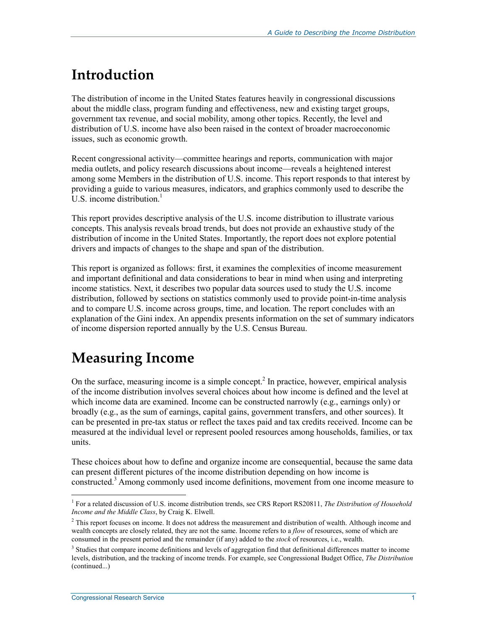## **Introduction**

The distribution of income in the United States features heavily in congressional discussions about the middle class, program funding and effectiveness, new and existing target groups, government tax revenue, and social mobility, among other topics. Recently, the level and distribution of U.S. income have also been raised in the context of broader macroeconomic issues, such as economic growth.

Recent congressional activity—committee hearings and reports, communication with major media outlets, and policy research discussions about income—reveals a heightened interest among some Members in the distribution of U.S. income. This report responds to that interest by providing a guide to various measures, indicators, and graphics commonly used to describe the  $U.S.$  income distribution.<sup>1</sup>

This report provides descriptive analysis of the U.S. income distribution to illustrate various concepts. This analysis reveals broad trends, but does not provide an exhaustive study of the distribution of income in the United States. Importantly, the report does not explore potential drivers and impacts of changes to the shape and span of the distribution.

This report is organized as follows: first, it examines the complexities of income measurement and important definitional and data considerations to bear in mind when using and interpreting income statistics. Next, it describes two popular data sources used to study the U.S. income distribution, followed by sections on statistics commonly used to provide point-in-time analysis and to compare U.S. income across groups, time, and location. The report concludes with an explanation of the Gini index. An appendix presents information on the set of summary indicators of income dispersion reported annually by the U.S. Census Bureau.

## **Measuring Income**

On the surface, measuring income is a simple concept.<sup>2</sup> In practice, however, empirical analysis of the income distribution involves several choices about how income is defined and the level at which income data are examined. Income can be constructed narrowly (e.g., earnings only) or broadly (e.g., as the sum of earnings, capital gains, government transfers, and other sources). It can be presented in pre-tax status or reflect the taxes paid and tax credits received. Income can be measured at the individual level or represent pooled resources among households, families, or tax units.

These choices about how to define and organize income are consequential, because the same data can present different pictures of the income distribution depending on how income is constructed.<sup>3</sup> Among commonly used income definitions, movement from one income measure to

 1 For a related discussion of U.S. income distribution trends, see CRS Report RS20811, *The Distribution of Household Income and the Middle Class*, by Craig K. Elwell.

 $2$  This report focuses on income. It does not address the measurement and distribution of wealth. Although income and wealth concepts are closely related, they are not the same. Income refers to a *flow* of resources, some of which are consumed in the present period and the remainder (if any) added to the *stock* of resources, i.e., wealth.

<sup>&</sup>lt;sup>3</sup> Studies that compare income definitions and levels of aggregation find that definitional differences matter to income levels, distribution, and the tracking of income trends. For example, see Congressional Budget Office, *The Distribution*  (continued...)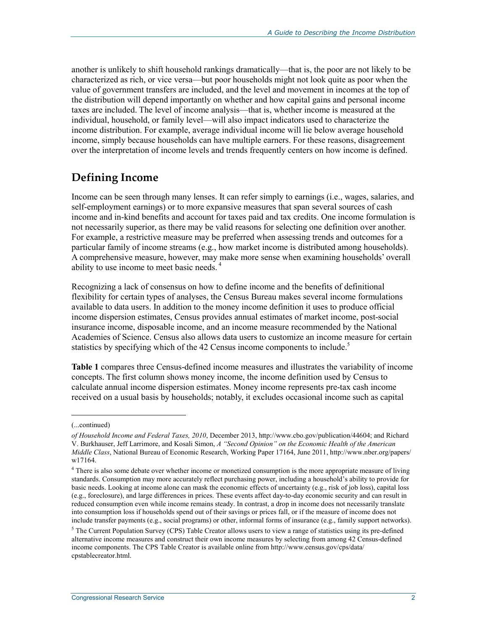another is unlikely to shift household rankings dramatically—that is, the poor are not likely to be characterized as rich, or vice versa—but poor households might not look quite as poor when the value of government transfers are included, and the level and movement in incomes at the top of the distribution will depend importantly on whether and how capital gains and personal income taxes are included. The level of income analysis—that is, whether income is measured at the individual, household, or family level—will also impact indicators used to characterize the income distribution. For example, average individual income will lie below average household income, simply because households can have multiple earners. For these reasons, disagreement over the interpretation of income levels and trends frequently centers on how income is defined.

### **Defining Income**

Income can be seen through many lenses. It can refer simply to earnings (i.e., wages, salaries, and self-employment earnings) or to more expansive measures that span several sources of cash income and in-kind benefits and account for taxes paid and tax credits. One income formulation is not necessarily superior, as there may be valid reasons for selecting one definition over another. For example, a restrictive measure may be preferred when assessing trends and outcomes for a particular family of income streams (e.g., how market income is distributed among households). A comprehensive measure, however, may make more sense when examining households' overall ability to use income to meet basic needs. 4

Recognizing a lack of consensus on how to define income and the benefits of definitional flexibility for certain types of analyses, the Census Bureau makes several income formulations available to data users. In addition to the money income definition it uses to produce official income dispersion estimates, Census provides annual estimates of market income, post-social insurance income, disposable income, and an income measure recommended by the National Academies of Science. Census also allows data users to customize an income measure for certain statistics by specifying which of the 42 Census income components to include.<sup>5</sup>

**Table 1** compares three Census-defined income measures and illustrates the variability of income concepts. The first column shows money income, the income definition used by Census to calculate annual income dispersion estimates. Money income represents pre-tax cash income received on a usual basis by households; notably, it excludes occasional income such as capital

 $\overline{a}$ 

<sup>(...</sup>continued)

*of Household Income and Federal Taxes, 2010*, December 2013, http://www.cbo.gov/publication/44604; and Richard V. Burkhauser, Jeff Larrimore, and Kosali Simon, *A "Second Opinion" on the Economic Health of the American Middle Class*, National Bureau of Economic Research, Working Paper 17164, June 2011, http://www.nber.org/papers/ w17164.

<sup>&</sup>lt;sup>4</sup> There is also some debate over whether income or monetized consumption is the more appropriate measure of living standards. Consumption may more accurately reflect purchasing power, including a household's ability to provide for basic needs. Looking at income alone can mask the economic effects of uncertainty (e.g., risk of job loss), capital loss (e.g., foreclosure), and large differences in prices. These events affect day-to-day economic security and can result in reduced consumption even while income remains steady. In contrast, a drop in income does not necessarily translate into consumption loss if households spend out of their savings or prices fall, or if the measure of income does not include transfer payments (e.g., social programs) or other, informal forms of insurance (e.g., family support networks).

 $<sup>5</sup>$  The Current Population Survey (CPS) Table Creator allows users to view a range of statistics using its pre-defined</sup> alternative income measures and construct their own income measures by selecting from among 42 Census-defined income components. The CPS Table Creator is available online from http://www.census.gov/cps/data/ cpstablecreator.html.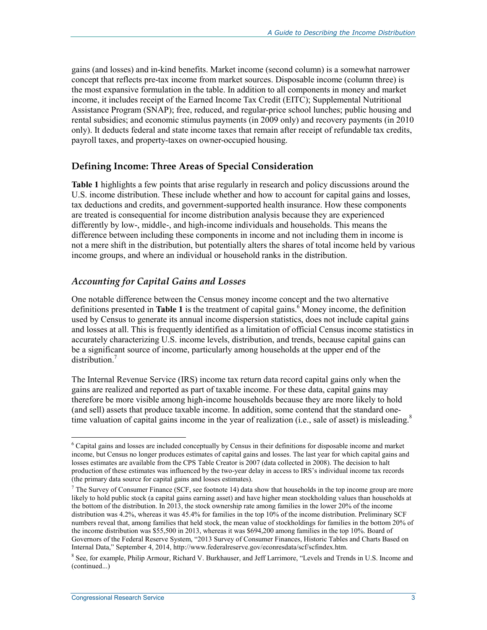gains (and losses) and in-kind benefits. Market income (second column) is a somewhat narrower concept that reflects pre-tax income from market sources. Disposable income (column three) is the most expansive formulation in the table. In addition to all components in money and market income, it includes receipt of the Earned Income Tax Credit (EITC); Supplemental Nutritional Assistance Program (SNAP); free, reduced, and regular-price school lunches; public housing and rental subsidies; and economic stimulus payments (in 2009 only) and recovery payments (in 2010 only). It deducts federal and state income taxes that remain after receipt of refundable tax credits, payroll taxes, and property-taxes on owner-occupied housing.

#### **Defining Income: Three Areas of Special Consideration**

**Table 1** highlights a few points that arise regularly in research and policy discussions around the U.S. income distribution. These include whether and how to account for capital gains and losses, tax deductions and credits, and government-supported health insurance. How these components are treated is consequential for income distribution analysis because they are experienced differently by low-, middle-, and high-income individuals and households. This means the difference between including these components in income and not including them in income is not a mere shift in the distribution, but potentially alters the shares of total income held by various income groups, and where an individual or household ranks in the distribution.

#### *Accounting for Capital Gains and Losses*

One notable difference between the Census money income concept and the two alternative definitions presented in **Table 1** is the treatment of capital gains.<sup>6</sup> Money income, the definition used by Census to generate its annual income dispersion statistics, does not include capital gains and losses at all. This is frequently identified as a limitation of official Census income statistics in accurately characterizing U.S. income levels, distribution, and trends, because capital gains can be a significant source of income, particularly among households at the upper end of the distribution.<sup>7</sup>

The Internal Revenue Service (IRS) income tax return data record capital gains only when the gains are realized and reported as part of taxable income. For these data, capital gains may therefore be more visible among high-income households because they are more likely to hold (and sell) assets that produce taxable income. In addition, some contend that the standard onetime valuation of capital gains income in the year of realization (i.e., sale of asset) is misleading.<sup>8</sup>

<u>.</u>

<sup>6</sup> Capital gains and losses are included conceptually by Census in their definitions for disposable income and market income, but Census no longer produces estimates of capital gains and losses. The last year for which capital gains and losses estimates are available from the CPS Table Creator is 2007 (data collected in 2008). The decision to halt production of these estimates was influenced by the two-year delay in access to IRS's individual income tax records (the primary data source for capital gains and losses estimates).

 $<sup>7</sup>$  The Survey of Consumer Finance (SCF, see footnote 14) data show that households in the top income group are more</sup> likely to hold public stock (a capital gains earning asset) and have higher mean stockholding values than households at the bottom of the distribution. In 2013, the stock ownership rate among families in the lower 20% of the income distribution was 4.2%, whereas it was 45.4% for families in the top 10% of the income distribution. Preliminary SCF numbers reveal that, among families that held stock, the mean value of stockholdings for families in the bottom 20% of the income distribution was \$55,500 in 2013, whereas it was \$694,200 among families in the top 10%. Board of Governors of the Federal Reserve System, "2013 Survey of Consumer Finances, Historic Tables and Charts Based on Internal Data," September 4, 2014, http://www.federalreserve.gov/econresdata/scf/scfindex.htm.

<sup>&</sup>lt;sup>8</sup> See, for example, Philip Armour, Richard V. Burkhauser, and Jeff Larrimore, "Levels and Trends in U.S. Income and (continued...)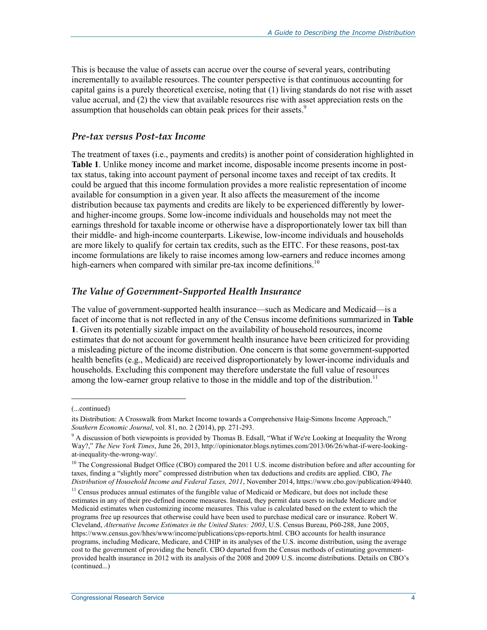This is because the value of assets can accrue over the course of several years, contributing incrementally to available resources. The counter perspective is that continuous accounting for capital gains is a purely theoretical exercise, noting that (1) living standards do not rise with asset value accrual, and (2) the view that available resources rise with asset appreciation rests on the assumption that households can obtain peak prices for their assets.<sup>9</sup>

#### *Pre-tax versus Post-tax Income*

The treatment of taxes (i.e., payments and credits) is another point of consideration highlighted in **Table 1**. Unlike money income and market income, disposable income presents income in posttax status, taking into account payment of personal income taxes and receipt of tax credits. It could be argued that this income formulation provides a more realistic representation of income available for consumption in a given year. It also affects the measurement of the income distribution because tax payments and credits are likely to be experienced differently by lowerand higher-income groups. Some low-income individuals and households may not meet the earnings threshold for taxable income or otherwise have a disproportionately lower tax bill than their middle- and high-income counterparts. Likewise, low-income individuals and households are more likely to qualify for certain tax credits, such as the EITC. For these reasons, post-tax income formulations are likely to raise incomes among low-earners and reduce incomes among high-earners when compared with similar pre-tax income definitions.<sup>10</sup>

#### *The Value of Government-Supported Health Insurance*

The value of government-supported health insurance—such as Medicare and Medicaid—is a facet of income that is not reflected in any of the Census income definitions summarized in **Table 1**. Given its potentially sizable impact on the availability of household resources, income estimates that do not account for government health insurance have been criticized for providing a misleading picture of the income distribution. One concern is that some government-supported health benefits (e.g., Medicaid) are received disproportionately by lower-income individuals and households. Excluding this component may therefore understate the full value of resources among the low-earner group relative to those in the middle and top of the distribution.<sup>11</sup>

<sup>(...</sup>continued)

its Distribution: A Crosswalk from Market Income towards a Comprehensive Haig-Simons Income Approach," *Southern Economic Journal*, vol. 81, no. 2 (2014), pp. 271-293.

<sup>&</sup>lt;sup>9</sup> A discussion of both viewpoints is provided by Thomas B. Edsall, "What if We're Looking at Inequality the Wrong Way?," *The New York Times*, June 26, 2013, http://opinionator.blogs.nytimes.com/2013/06/26/what-if-were-lookingat-inequality-the-wrong-way/.

<sup>&</sup>lt;sup>10</sup> The Congressional Budget Office (CBO) compared the 2011 U.S. income distribution before and after accounting for taxes, finding a "slightly more" compressed distribution when tax deductions and credits are applied. CBO, *The Distribution of Household Income and Federal Taxes, 2011*, November 2014, https://www.cbo.gov/publication/49440.

<sup>&</sup>lt;sup>11</sup> Census produces annual estimates of the fungible value of Medicaid or Medicare, but does not include these estimates in any of their pre-defined income measures. Instead, they permit data users to include Medicare and/or Medicaid estimates when customizing income measures. This value is calculated based on the extent to which the programs free up resources that otherwise could have been used to purchase medical care or insurance. Robert W. Cleveland, *Alternative Income Estimates in the United States: 2003*, U.S. Census Bureau, P60-288, June 2005, https://www.census.gov/hhes/www/income/publications/cps-reports.html. CBO accounts for health insurance programs, including Medicare, Medicare, and CHIP in its analyses of the U.S. income distribution, using the average cost to the government of providing the benefit. CBO departed from the Census methods of estimating governmentprovided health insurance in 2012 with its analysis of the 2008 and 2009 U.S. income distributions. Details on CBO's (continued...)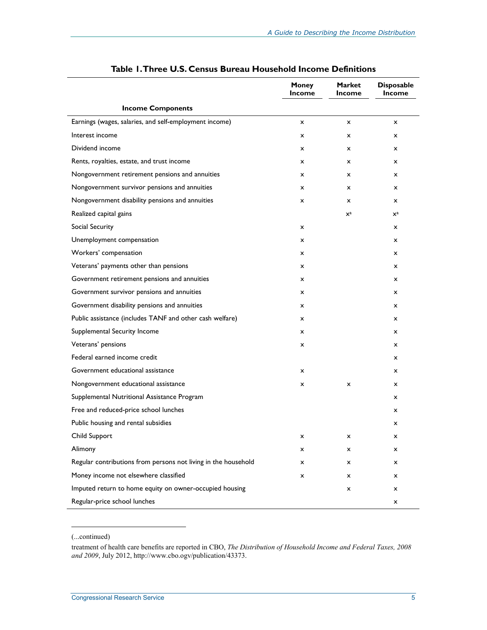|                                                                | <b>Money</b><br><b>Income</b> | <b>Market</b><br>Income | <b>Disposable</b><br>Income |
|----------------------------------------------------------------|-------------------------------|-------------------------|-----------------------------|
| <b>Income Components</b>                                       |                               |                         |                             |
| Earnings (wages, salaries, and self-employment income)         | x                             | x                       | $\mathsf{x}$                |
| Interest income                                                | $\mathsf{x}$                  | $\mathsf{x}$            | $\mathsf{x}$                |
| Dividend income                                                | x                             | $\mathsf{x}$            | x                           |
| Rents, royalties, estate, and trust income                     | x                             | x                       | $\mathsf{x}$                |
| Nongovernment retirement pensions and annuities                | $\mathsf{x}$                  | x                       | $\mathsf{x}$                |
| Nongovernment survivor pensions and annuities                  | x                             | $\mathsf{x}$            | x                           |
| Nongovernment disability pensions and annuities                | x                             | x                       | $\mathsf{x}$                |
| Realized capital gains                                         |                               | $\mathsf{X}^{\text{a}}$ | $\mathsf{x}^{\mathrm{a}}$   |
| Social Security                                                | x                             |                         | $\mathsf{x}$                |
| Unemployment compensation                                      | $\mathsf{x}$                  |                         | $\mathsf{x}$                |
| Workers' compensation                                          | x                             |                         | x                           |
| Veterans' payments other than pensions                         | x                             |                         | x                           |
| Government retirement pensions and annuities                   | x                             |                         | x                           |
| Government survivor pensions and annuities                     | x                             |                         | x                           |
| Government disability pensions and annuities                   | x                             |                         | x                           |
| Public assistance (includes TANF and other cash welfare)       | x                             |                         | x                           |
| Supplemental Security Income                                   | x                             |                         | x                           |
| Veterans' pensions                                             | x                             |                         | x                           |
| Federal earned income credit                                   |                               |                         | x                           |
| Government educational assistance                              | x                             |                         | x                           |
| Nongovernment educational assistance                           | x                             | x                       | x                           |
| Supplemental Nutritional Assistance Program                    |                               |                         | x                           |
| Free and reduced-price school lunches                          |                               |                         | x                           |
| Public housing and rental subsidies                            |                               |                         | x                           |
| Child Support                                                  | x                             | x                       | x                           |
| Alimony                                                        | x                             | x                       | x                           |
| Regular contributions from persons not living in the household | x                             | x                       | x                           |
| Money income not elsewhere classified                          | x                             | x                       | x                           |
| Imputed return to home equity on owner-occupied housing        |                               | x                       | x                           |
| Regular-price school lunches                                   |                               |                         | x                           |

#### **Table 1. Three U.S. Census Bureau Household Income Definitions**

(...continued)

1

 $\ddot{\phantom{a}}$ 

treatment of health care benefits are reported in CBO, *The Distribution of Household Income and Federal Taxes, 2008 and 2009*, July 2012, http://www.cbo.ogv/publication/43373.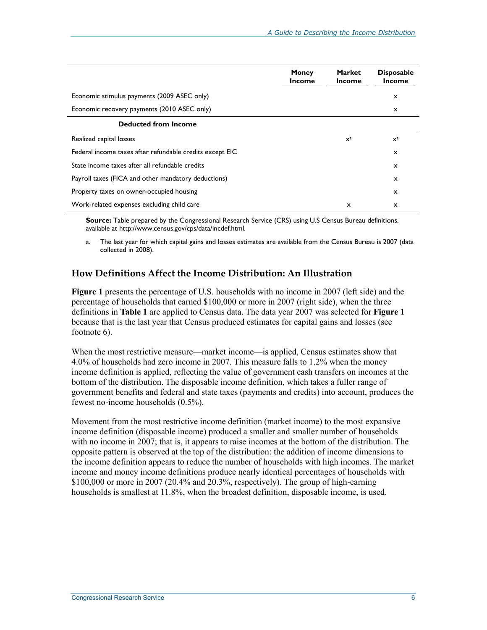|                                                          | <b>Money</b><br><b>Income</b> | <b>Market</b><br><b>Income</b> | <b>Disposable</b><br><b>Income</b> |
|----------------------------------------------------------|-------------------------------|--------------------------------|------------------------------------|
| Economic stimulus payments (2009 ASEC only)              |                               |                                | x                                  |
| Economic recovery payments (2010 ASEC only)              |                               |                                | x                                  |
| <b>Deducted from Income</b>                              |                               |                                |                                    |
| Realized capital losses                                  |                               | $X^a$                          | $\mathbf{X}^{\text{a}}$            |
| Federal income taxes after refundable credits except EIC |                               |                                | $\boldsymbol{\mathsf{x}}$          |
| State income taxes after all refundable credits          |                               |                                | x                                  |
| Payroll taxes (FICA and other mandatory deductions)      |                               |                                | X                                  |
| Property taxes on owner-occupied housing                 |                               |                                | x                                  |
| Work-related expenses excluding child care               |                               | x                              | x                                  |

**Source:** Table prepared by the Congressional Research Service (CRS) using U.S Census Bureau definitions, available at http://www.census.gov/cps/data/incdef.html.

a. The last year for which capital gains and losses estimates are available from the Census Bureau is 2007 (data collected in 2008).

#### **How Definitions Affect the Income Distribution: An Illustration**

**Figure 1** presents the percentage of U.S. households with no income in 2007 (left side) and the percentage of households that earned \$100,000 or more in 2007 (right side), when the three definitions in **Table 1** are applied to Census data. The data year 2007 was selected for **Figure 1** because that is the last year that Census produced estimates for capital gains and losses (see footnote 6).

When the most restrictive measure—market income—is applied, Census estimates show that 4.0% of households had zero income in 2007. This measure falls to 1.2% when the money income definition is applied, reflecting the value of government cash transfers on incomes at the bottom of the distribution. The disposable income definition, which takes a fuller range of government benefits and federal and state taxes (payments and credits) into account, produces the fewest no-income households (0.5%).

Movement from the most restrictive income definition (market income) to the most expansive income definition (disposable income) produced a smaller and smaller number of households with no income in 2007; that is, it appears to raise incomes at the bottom of the distribution. The opposite pattern is observed at the top of the distribution: the addition of income dimensions to the income definition appears to reduce the number of households with high incomes. The market income and money income definitions produce nearly identical percentages of households with  $$100,000$  or more in 2007 (20.4% and 20.3%, respectively). The group of high-earning households is smallest at 11.8%, when the broadest definition, disposable income, is used.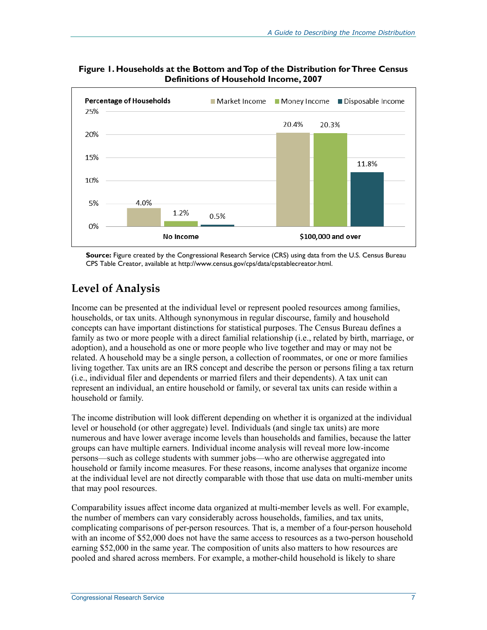

**Figure 1. Households at the Bottom and Top of the Distribution for Three Census Definitions of Household Income, 2007** 

**Source:** Figure created by the Congressional Research Service (CRS) using data from the U.S. Census Bureau CPS Table Creator, available at http://www.census.gov/cps/data/cpstablecreator.html.

## **Level of Analysis**

Income can be presented at the individual level or represent pooled resources among families, households, or tax units. Although synonymous in regular discourse, family and household concepts can have important distinctions for statistical purposes. The Census Bureau defines a family as two or more people with a direct familial relationship (i.e., related by birth, marriage, or adoption), and a household as one or more people who live together and may or may not be related. A household may be a single person, a collection of roommates, or one or more families living together. Tax units are an IRS concept and describe the person or persons filing a tax return (i.e., individual filer and dependents or married filers and their dependents). A tax unit can represent an individual, an entire household or family, or several tax units can reside within a household or family.

The income distribution will look different depending on whether it is organized at the individual level or household (or other aggregate) level. Individuals (and single tax units) are more numerous and have lower average income levels than households and families, because the latter groups can have multiple earners. Individual income analysis will reveal more low-income persons—such as college students with summer jobs—who are otherwise aggregated into household or family income measures. For these reasons, income analyses that organize income at the individual level are not directly comparable with those that use data on multi-member units that may pool resources.

Comparability issues affect income data organized at multi-member levels as well. For example, the number of members can vary considerably across households, families, and tax units, complicating comparisons of per-person resources. That is, a member of a four-person household with an income of \$52,000 does not have the same access to resources as a two-person household earning \$52,000 in the same year. The composition of units also matters to how resources are pooled and shared across members. For example, a mother-child household is likely to share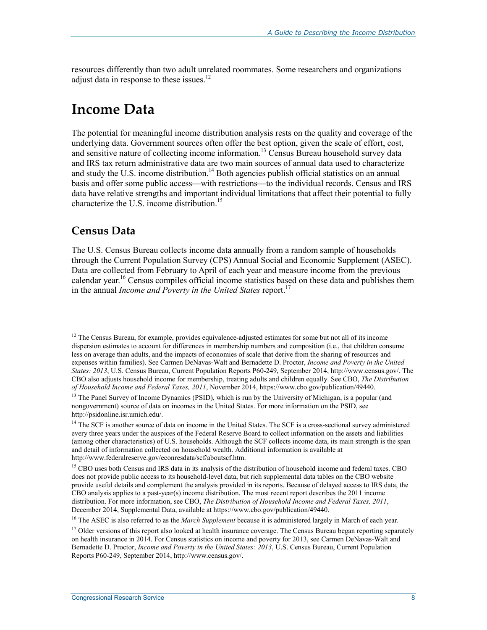resources differently than two adult unrelated roommates. Some researchers and organizations adjust data in response to these issues. $^{12}$ 

## **Income Data**

The potential for meaningful income distribution analysis rests on the quality and coverage of the underlying data. Government sources often offer the best option, given the scale of effort, cost, and sensitive nature of collecting income information.<sup>13</sup> Census Bureau household survey data and IRS tax return administrative data are two main sources of annual data used to characterize and study the U.S. income distribution.<sup>14</sup> Both agencies publish official statistics on an annual basis and offer some public access—with restrictions—to the individual records. Census and IRS data have relative strengths and important individual limitations that affect their potential to fully characterize the U.S. income distribution.<sup>15</sup>

#### **Census Data**

1

The U.S. Census Bureau collects income data annually from a random sample of households through the Current Population Survey (CPS) Annual Social and Economic Supplement (ASEC). Data are collected from February to April of each year and measure income from the previous calendar year.<sup>16</sup> Census compiles official income statistics based on these data and publishes them in the annual *Income and Poverty in the United States* report.<sup>17</sup>

<sup>&</sup>lt;sup>12</sup> The Census Bureau, for example, provides equivalence-adjusted estimates for some but not all of its income dispersion estimates to account for differences in membership numbers and composition (i.e., that children consume less on average than adults, and the impacts of economies of scale that derive from the sharing of resources and expenses within families). See Carmen DeNavas-Walt and Bernadette D. Proctor, *Income and Poverty in the United States: 2013*, U.S. Census Bureau, Current Population Reports P60-249, September 2014, http://www.census.gov/. The CBO also adjusts household income for membership, treating adults and children equally. See CBO, *The Distribution of Household Income and Federal Taxes, 2011*, November 2014, https://www.cbo.gov/publication/49440.

<sup>&</sup>lt;sup>13</sup> The Panel Survey of Income Dynamics (PSID), which is run by the University of Michigan, is a popular (and nongovernment) source of data on incomes in the United States. For more information on the PSID, see http://psidonline.isr.umich.edu/.

<sup>&</sup>lt;sup>14</sup> The SCF is another source of data on income in the United States. The SCF is a cross-sectional survey administered every three years under the auspices of the Federal Reserve Board to collect information on the assets and liabilities (among other characteristics) of U.S. households. Although the SCF collects income data, its main strength is the span and detail of information collected on household wealth. Additional information is available at http://www.federalreserve.gov/econresdata/scf/aboutscf.htm.

<sup>&</sup>lt;sup>15</sup> CBO uses both Census and IRS data in its analysis of the distribution of household income and federal taxes. CBO does not provide public access to its household-level data, but rich supplemental data tables on the CBO website provide useful details and complement the analysis provided in its reports. Because of delayed access to IRS data, the CBO analysis applies to a past-year(s) income distribution. The most recent report describes the 2011 income distribution. For more information, see CBO, *The Distribution of Household Income and Federal Taxes, 2011*, December 2014, Supplemental Data, available at https://www.cbo.gov/publication/49440.

<sup>16</sup> The ASEC is also referred to as the *March Supplement* because it is administered largely in March of each year.

 $17$  Older versions of this report also looked at health insurance coverage. The Census Bureau began reporting separately on health insurance in 2014. For Census statistics on income and poverty for 2013, see Carmen DeNavas-Walt and Bernadette D. Proctor, *Income and Poverty in the United States: 2013*, U.S. Census Bureau, Current Population Reports P60-249, September 2014, http://www.census.gov/.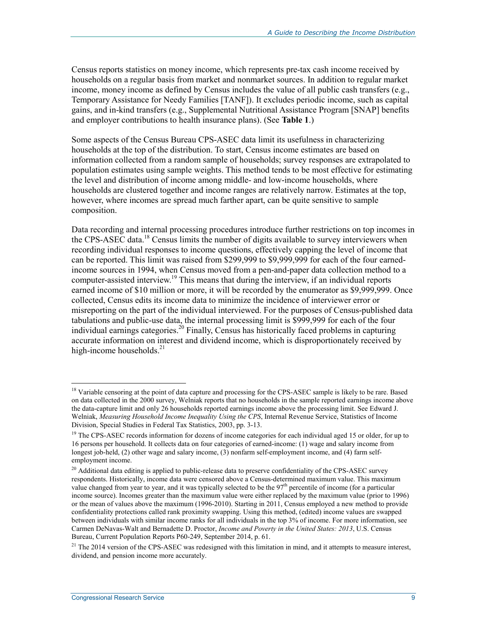Census reports statistics on money income, which represents pre-tax cash income received by households on a regular basis from market and nonmarket sources. In addition to regular market income, money income as defined by Census includes the value of all public cash transfers (e.g., Temporary Assistance for Needy Families [TANF]). It excludes periodic income, such as capital gains, and in-kind transfers (e.g., Supplemental Nutritional Assistance Program [SNAP] benefits and employer contributions to health insurance plans). (See **Table 1**.)

Some aspects of the Census Bureau CPS-ASEC data limit its usefulness in characterizing households at the top of the distribution. To start, Census income estimates are based on information collected from a random sample of households; survey responses are extrapolated to population estimates using sample weights. This method tends to be most effective for estimating the level and distribution of income among middle- and low-income households, where households are clustered together and income ranges are relatively narrow. Estimates at the top, however, where incomes are spread much farther apart, can be quite sensitive to sample composition.

Data recording and internal processing procedures introduce further restrictions on top incomes in the CPS-ASEC data.<sup>18</sup> Census limits the number of digits available to survey interviewers when recording individual responses to income questions, effectively capping the level of income that can be reported. This limit was raised from \$299,999 to \$9,999,999 for each of the four earnedincome sources in 1994, when Census moved from a pen-and-paper data collection method to a computer-assisted interview.<sup>19</sup> This means that during the interview, if an individual reports earned income of \$10 million or more, it will be recorded by the enumerator as \$9,999,999. Once collected, Census edits its income data to minimize the incidence of interviewer error or misreporting on the part of the individual interviewed. For the purposes of Census-published data tabulations and public-use data, the internal processing limit is \$999,999 for each of the four individual earnings categories.<sup>20</sup> Finally, Census has historically faced problems in capturing accurate information on interest and dividend income, which is disproportionately received by high-income households. $^{21}$ 

<sup>&</sup>lt;sup>18</sup> Variable censoring at the point of data capture and processing for the CPS-ASEC sample is likely to be rare. Based on data collected in the 2000 survey, Welniak reports that no households in the sample reported earnings income above the data-capture limit and only 26 households reported earnings income above the processing limit. See Edward J. Welniak, *Measuring Household Income Inequality Using the CPS*, Internal Revenue Service, Statistics of Income Division, Special Studies in Federal Tax Statistics, 2003, pp. 3-13.

<sup>&</sup>lt;sup>19</sup> The CPS-ASEC records information for dozens of income categories for each individual aged 15 or older, for up to 16 persons per household. It collects data on four categories of earned-income: (1) wage and salary income from longest job-held, (2) other wage and salary income, (3) nonfarm self-employment income, and (4) farm selfemployment income.

<sup>&</sup>lt;sup>20</sup> Additional data editing is applied to public-release data to preserve confidentiality of the CPS-ASEC survey respondents. Historically, income data were censored above a Census-determined maximum value. This maximum value changed from year to year, and it was typically selected to be the 97<sup>th</sup> percentile of income (for a particular income source). Incomes greater than the maximum value were either replaced by the maximum value (prior to 1996) or the mean of values above the maximum (1996-2010). Starting in 2011, Census employed a new method to provide confidentiality protections called rank proximity swapping. Using this method, (edited) income values are swapped between individuals with similar income ranks for all individuals in the top 3% of income. For more information, see Carmen DeNavas-Walt and Bernadette D. Proctor, *Income and Poverty in the United States: 2013*, U.S. Census Bureau, Current Population Reports P60-249, September 2014, p. 61.

<sup>&</sup>lt;sup>21</sup> The 2014 version of the CPS-ASEC was redesigned with this limitation in mind, and it attempts to measure interest, dividend, and pension income more accurately.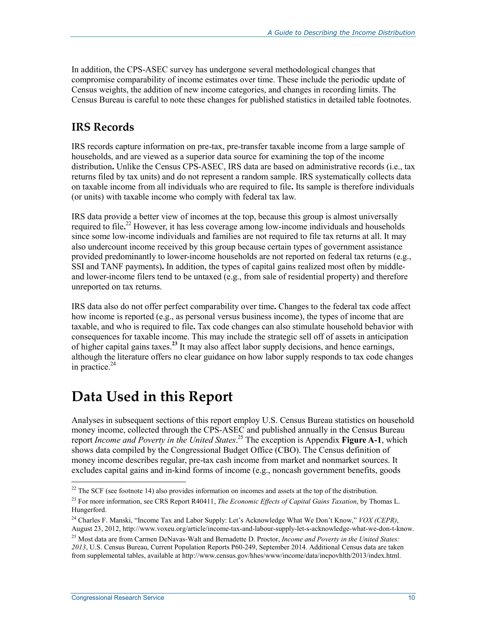In addition, the CPS-ASEC survey has undergone several methodological changes that compromise comparability of income estimates over time. These include the periodic update of Census weights, the addition of new income categories, and changes in recording limits. The Census Bureau is careful to note these changes for published statistics in detailed table footnotes.

### **IRS Records**

IRS records capture information on pre-tax, pre-transfer taxable income from a large sample of households, and are viewed as a superior data source for examining the top of the income distribution**.** Unlike the Census CPS-ASEC, IRS data are based on administrative records (i.e., tax returns filed by tax units) and do not represent a random sample. IRS systematically collects data on taxable income from all individuals who are required to file**.** Its sample is therefore individuals (or units) with taxable income who comply with federal tax law.

IRS data provide a better view of incomes at the top, because this group is almost universally required to file**.** 22 However, it has less coverage among low-income individuals and households since some low-income individuals and families are not required to file tax returns at all. It may also undercount income received by this group because certain types of government assistance provided predominantly to lower-income households are not reported on federal tax returns (e.g., SSI and TANF payments)**.** In addition, the types of capital gains realized most often by middleand lower-income filers tend to be untaxed (e.g., from sale of residential property) and therefore unreported on tax returns.

IRS data also do not offer perfect comparability over time**.** Changes to the federal tax code affect how income is reported (e.g., as personal versus business income), the types of income that are taxable, and who is required to file**.** Tax code changes can also stimulate household behavior with consequences for taxable income. This may include the strategic sell off of assets in anticipation of higher capital gains taxes.**<sup>23</sup>** It may also affect labor supply decisions, and hence earnings, although the literature offers no clear guidance on how labor supply responds to tax code changes in practice. $24$ 

## **Data Used in this Report**

Analyses in subsequent sections of this report employ U.S. Census Bureau statistics on household money income, collected through the CPS-ASEC and published annually in the Census Bureau report *Income and Poverty in the United States*. 25 The exception is Appendix **Figure A-1**, which shows data compiled by the Congressional Budget Office (CBO). The Census definition of money income describes regular, pre-tax cash income from market and nonmarket sources. It excludes capital gains and in-kind forms of income (e.g., noncash government benefits, goods

 $22$  The SCF (see footnote 14) also provides information on incomes and assets at the top of the distribution.

<sup>23</sup> For more information, see CRS Report R40411, *The Economic Effects of Capital Gains Taxation*, by Thomas L. Hungerford.

<sup>24</sup> Charles F. Manski, "Income Tax and Labor Supply: Let's Acknowledge What We Don't Know," *VOX (CEPR)*, August 23, 2012, http://www.voxeu.org/article/income-tax-and-labour-supply-let-s-acknowledge-what-we-don-t-know.

<sup>25</sup> Most data are from Carmen DeNavas-Walt and Bernadette D. Proctor, *Income and Poverty in the United States: 2013*, U.S. Census Bureau, Current Population Reports P60-249, September 2014. Additional Census data are taken from supplemental tables, available at http://www.census.gov/hhes/www/income/data/incpovhlth/2013/index.html.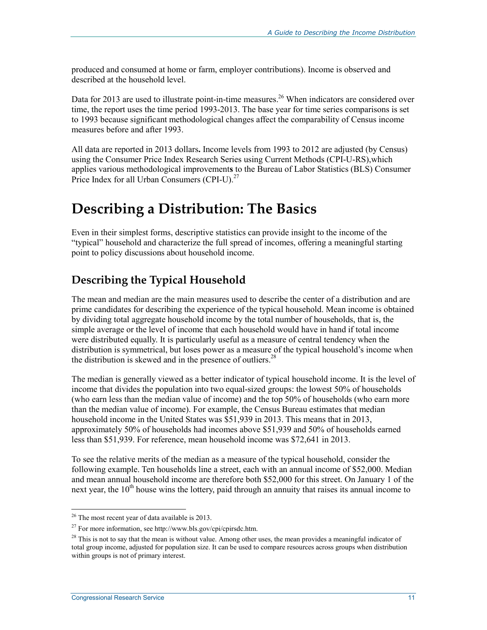produced and consumed at home or farm, employer contributions). Income is observed and described at the household level.

Data for 2013 are used to illustrate point-in-time measures.<sup>26</sup> When indicators are considered over time, the report uses the time period 1993-2013. The base year for time series comparisons is set to 1993 because significant methodological changes affect the comparability of Census income measures before and after 1993.

All data are reported in 2013 dollars**.** Income levels from 1993 to 2012 are adjusted (by Census) using the Consumer Price Index Research Series using Current Methods (CPI-U-RS),which applies various methodological improvement**s** to the Bureau of Labor Statistics (BLS) Consumer Price Index for all Urban Consumers (CPI-U).<sup>27</sup>

## **Describing a Distribution: The Basics**

Even in their simplest forms, descriptive statistics can provide insight to the income of the "typical" household and characterize the full spread of incomes, offering a meaningful starting point to policy discussions about household income.

### **Describing the Typical Household**

The mean and median are the main measures used to describe the center of a distribution and are prime candidates for describing the experience of the typical household. Mean income is obtained by dividing total aggregate household income by the total number of households, that is, the simple average or the level of income that each household would have in hand if total income were distributed equally. It is particularly useful as a measure of central tendency when the distribution is symmetrical, but loses power as a measure of the typical household's income when the distribution is skewed and in the presence of outliers.<sup>28</sup>

The median is generally viewed as a better indicator of typical household income. It is the level of income that divides the population into two equal-sized groups: the lowest 50% of households (who earn less than the median value of income) and the top 50% of households (who earn more than the median value of income). For example, the Census Bureau estimates that median household income in the United States was \$51,939 in 2013. This means that in 2013, approximately 50% of households had incomes above \$51,939 and 50% of households earned less than \$51,939. For reference, mean household income was \$72,641 in 2013.

To see the relative merits of the median as a measure of the typical household, consider the following example. Ten households line a street, each with an annual income of \$52,000. Median and mean annual household income are therefore both \$52,000 for this street. On January 1 of the next year, the  $10<sup>th</sup>$  house wins the lottery, paid through an annuity that raises its annual income to

<sup>&</sup>lt;sup>26</sup> The most recent year of data available is 2013.

<sup>27</sup> For more information, see http://www.bls.gov/cpi/cpirsdc.htm.

 $28$  This is not to say that the mean is without value. Among other uses, the mean provides a meaningful indicator of total group income, adjusted for population size. It can be used to compare resources across groups when distribution within groups is not of primary interest.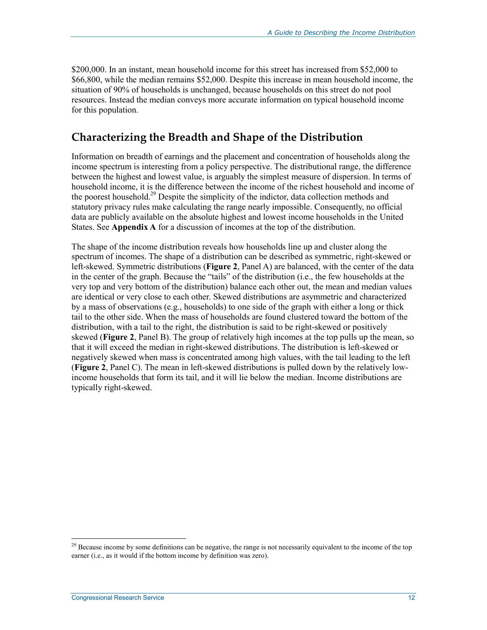\$200,000. In an instant, mean household income for this street has increased from \$52,000 to \$66,800, while the median remains \$52,000. Despite this increase in mean household income, the situation of 90% of households is unchanged, because households on this street do not pool resources. Instead the median conveys more accurate information on typical household income for this population.

### **Characterizing the Breadth and Shape of the Distribution**

Information on breadth of earnings and the placement and concentration of households along the income spectrum is interesting from a policy perspective. The distributional range, the difference between the highest and lowest value, is arguably the simplest measure of dispersion. In terms of household income, it is the difference between the income of the richest household and income of the poorest household.<sup>29</sup> Despite the simplicity of the indictor, data collection methods and statutory privacy rules make calculating the range nearly impossible. Consequently, no official data are publicly available on the absolute highest and lowest income households in the United States. See **Appendix A** for a discussion of incomes at the top of the distribution.

The shape of the income distribution reveals how households line up and cluster along the spectrum of incomes. The shape of a distribution can be described as symmetric, right-skewed or left-skewed. Symmetric distributions (**Figure 2**, Panel A) are balanced, with the center of the data in the center of the graph. Because the "tails" of the distribution (i.e., the few households at the very top and very bottom of the distribution) balance each other out, the mean and median values are identical or very close to each other. Skewed distributions are asymmetric and characterized by a mass of observations (e.g., households) to one side of the graph with either a long or thick tail to the other side. When the mass of households are found clustered toward the bottom of the distribution, with a tail to the right, the distribution is said to be right-skewed or positively skewed (**Figure 2**, Panel B). The group of relatively high incomes at the top pulls up the mean, so that it will exceed the median in right-skewed distributions. The distribution is left-skewed or negatively skewed when mass is concentrated among high values, with the tail leading to the left (**Figure 2**, Panel C). The mean in left-skewed distributions is pulled down by the relatively lowincome households that form its tail, and it will lie below the median. Income distributions are typically right-skewed.

 $2<sup>9</sup>$  Because income by some definitions can be negative, the range is not necessarily equivalent to the income of the top earner (i.e., as it would if the bottom income by definition was zero).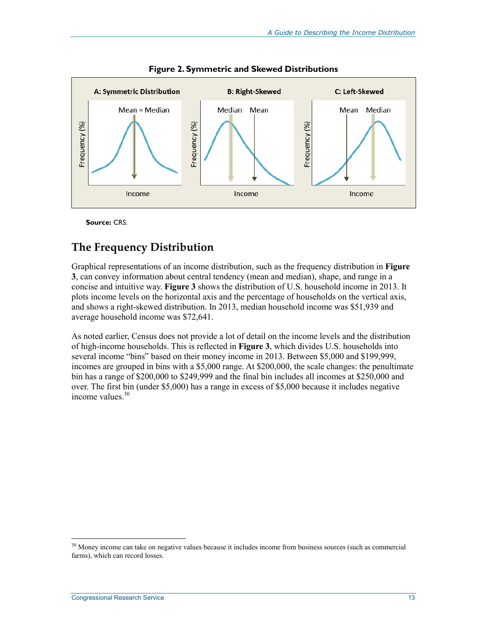



**Source:** CRS.

#### **The Frequency Distribution**

Graphical representations of an income distribution, such as the frequency distribution in **Figure 3**, can convey information about central tendency (mean and median), shape, and range in a concise and intuitive way. **Figure 3** shows the distribution of U.S. household income in 2013. It plots income levels on the horizontal axis and the percentage of households on the vertical axis, and shows a right-skewed distribution. In 2013, median household income was \$51,939 and average household income was \$72,641.

As noted earlier, Census does not provide a lot of detail on the income levels and the distribution of high-income households. This is reflected in **Figure 3**, which divides U.S. households into several income "bins" based on their money income in 2013. Between \$5,000 and \$199,999, incomes are grouped in bins with a \$5,000 range. At \$200,000, the scale changes: the penultimate bin has a range of \$200,000 to \$249,999 and the final bin includes all incomes at \$250,000 and over. The first bin (under \$5,000) has a range in excess of \$5,000 because it includes negative income values  $30$ 

 $30$  Money income can take on negative values because it includes income from business sources (such as commercial farms), which can record losses.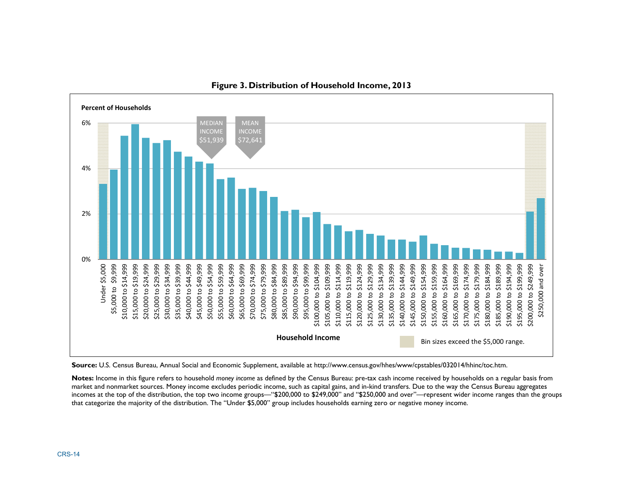

#### **Figure 3. Distribution of Household Income, 2013**

**Source:** U.S. Census Bureau, Annual Social and Economic Supplement, available at http://www.census.gov/hhes/www/cpstables/032014/hhinc/toc.htm.

**Notes:** Income in this figure refers to household *money income* as defined by the Census Bureau: pre-tax cash income received by households on a regular basis from market and nonmarket sources. Money income excludes periodic income, such as capital gains, and in-kind transfers. Due to the way the Census Bureau aggregates incomes at the top of the distribution, the top two income groups—"\$200,000 to \$249,000" and "\$250,000 and over"—represent wider income ranges than the groups that categorize the majority of the distribution. The "Under \$5,000" group includes households earning zero or negative money income.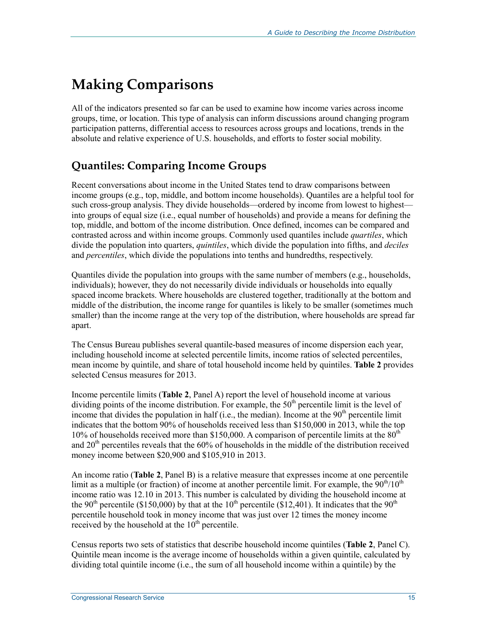## **Making Comparisons**

All of the indicators presented so far can be used to examine how income varies across income groups, time, or location. This type of analysis can inform discussions around changing program participation patterns, differential access to resources across groups and locations, trends in the absolute and relative experience of U.S. households, and efforts to foster social mobility.

### **Quantiles: Comparing Income Groups**

Recent conversations about income in the United States tend to draw comparisons between income groups (e.g., top, middle, and bottom income households). Quantiles are a helpful tool for such cross-group analysis. They divide households—ordered by income from lowest to highest into groups of equal size (i.e., equal number of households) and provide a means for defining the top, middle, and bottom of the income distribution. Once defined, incomes can be compared and contrasted across and within income groups. Commonly used quantiles include *quartiles*, which divide the population into quarters, *quintiles*, which divide the population into fifths, and *deciles* and *percentiles*, which divide the populations into tenths and hundredths, respectively.

Quantiles divide the population into groups with the same number of members (e.g., households, individuals); however, they do not necessarily divide individuals or households into equally spaced income brackets. Where households are clustered together, traditionally at the bottom and middle of the distribution, the income range for quantiles is likely to be smaller (sometimes much smaller) than the income range at the very top of the distribution, where households are spread far apart.

The Census Bureau publishes several quantile-based measures of income dispersion each year, including household income at selected percentile limits, income ratios of selected percentiles, mean income by quintile, and share of total household income held by quintiles. **Table 2** provides selected Census measures for 2013.

Income percentile limits (**Table 2**, Panel A) report the level of household income at various dividing points of the income distribution. For example, the  $50<sup>th</sup>$  percentile limit is the level of income that divides the population in half (i.e., the median). Income at the  $90<sup>th</sup>$  percentile limit indicates that the bottom 90% of households received less than \$150,000 in 2013, while the top 10% of households received more than \$150,000. A comparison of percentile limits at the  $80<sup>th</sup>$ and  $20<sup>th</sup>$  percentiles reveals that the 60% of households in the middle of the distribution received money income between \$20,900 and \$105,910 in 2013.

An income ratio (**Table 2**, Panel B) is a relative measure that expresses income at one percentile limit as a multiple (or fraction) of income at another percentile limit. For example, the  $90<sup>th</sup>/10<sup>th</sup>$ income ratio was 12.10 in 2013. This number is calculated by dividing the household income at the 90<sup>th</sup> percentile (\$150,000) by that at the 10<sup>th</sup> percentile (\$12,401). It indicates that the 90<sup>th</sup> percentile household took in money income that was just over 12 times the money income received by the household at the  $10<sup>th</sup>$  percentile.

Census reports two sets of statistics that describe household income quintiles (**Table 2**, Panel C). Quintile mean income is the average income of households within a given quintile, calculated by dividing total quintile income (i.e., the sum of all household income within a quintile) by the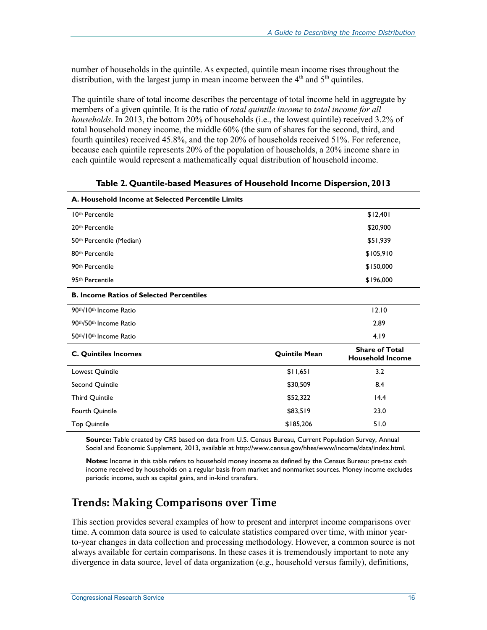number of households in the quintile. As expected, quintile mean income rises throughout the distribution, with the largest jump in mean income between the  $4<sup>th</sup>$  and  $5<sup>th</sup>$  quintiles.

The quintile share of total income describes the percentage of total income held in aggregate by members of a given quintile. It is the ratio of *total quintile income* to *total income for all households*. In 2013, the bottom 20% of households (i.e., the lowest quintile) received 3.2% of total household money income, the middle 60% (the sum of shares for the second, third, and fourth quintiles) received 45.8%, and the top 20% of households received 51%. For reference, because each quintile represents 20% of the population of households, a 20% income share in each quintile would represent a mathematically equal distribution of household income.

| A. Household Income at Selected Percentile Limits |                      |                                                  |  |  |
|---------------------------------------------------|----------------------|--------------------------------------------------|--|--|
| 10th Percentile                                   |                      | \$12,401                                         |  |  |
| 20th Percentile                                   |                      | \$20,900                                         |  |  |
| 50 <sup>th</sup> Percentile (Median)              |                      | \$51,939                                         |  |  |
| 80 <sup>th</sup> Percentile                       |                      | \$105,910                                        |  |  |
| 90th Percentile                                   |                      | \$150,000                                        |  |  |
| 95 <sup>th</sup> Percentile                       |                      | \$196,000                                        |  |  |
| <b>B. Income Ratios of Selected Percentiles</b>   |                      |                                                  |  |  |
| 90th/10th Income Ratio                            |                      | 12.10                                            |  |  |
| 90th/50th Income Ratio                            |                      | 2.89                                             |  |  |
| 50th/10th Income Ratio                            |                      | 4.19                                             |  |  |
| <b>C. Quintiles Incomes</b>                       | <b>Quintile Mean</b> | <b>Share of Total</b><br><b>Household Income</b> |  |  |
| Lowest Quintile                                   | \$11,651             | 3.2                                              |  |  |
| Second Quintile                                   | \$30,509             | 8.4                                              |  |  |
| Third Quintile                                    | \$52,322             | 14.4                                             |  |  |
| Fourth Quintile                                   | \$83,519             | 23.0                                             |  |  |
| <b>Top Quintile</b>                               | \$185,206            | 51.0                                             |  |  |

**Table 2. Quantile-based Measures of Household Income Dispersion, 2013** 

**Source:** Table created by CRS based on data from U.S. Census Bureau, Current Population Survey, Annual Social and Economic Supplement, 2013, available at http://www.census.gov/hhes/www/income/data/index.html.

**Notes:** Income in this table refers to household money income as defined by the Census Bureau: pre-tax cash income received by households on a regular basis from market and nonmarket sources. Money income excludes periodic income, such as capital gains, and in-kind transfers.

### **Trends: Making Comparisons over Time**

This section provides several examples of how to present and interpret income comparisons over time. A common data source is used to calculate statistics compared over time, with minor yearto-year changes in data collection and processing methodology. However, a common source is not always available for certain comparisons. In these cases it is tremendously important to note any divergence in data source, level of data organization (e.g., household versus family), definitions,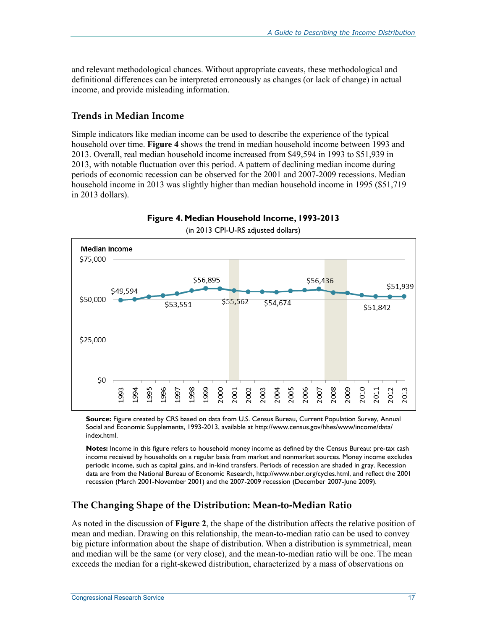and relevant methodological chances. Without appropriate caveats, these methodological and definitional differences can be interpreted erroneously as changes (or lack of change) in actual income, and provide misleading information.

#### **Trends in Median Income**

Simple indicators like median income can be used to describe the experience of the typical household over time. **Figure 4** shows the trend in median household income between 1993 and 2013. Overall, real median household income increased from \$49,594 in 1993 to \$51,939 in 2013, with notable fluctuation over this period. A pattern of declining median income during periods of economic recession can be observed for the 2001 and 2007-2009 recessions. Median household income in 2013 was slightly higher than median household income in 1995 (\$51,719 in 2013 dollars).



**Figure 4. Median Household Income, 1993-2013** 

**Source:** Figure created by CRS based on data from U.S. Census Bureau, Current Population Survey, Annual Social and Economic Supplements, 1993-2013, available at http://www.census.gov/hhes/www/income/data/ index.html.

**Notes:** Income in this figure refers to household money income as defined by the Census Bureau: pre-tax cash income received by households on a regular basis from market and nonmarket sources. Money income excludes periodic income, such as capital gains, and in-kind transfers. Periods of recession are shaded in gray. Recession data are from the National Bureau of Economic Research, http://www.nber.org/cycles.html, and reflect the 2001 recession (March 2001-November 2001) and the 2007-2009 recession (December 2007-June 2009).

#### **The Changing Shape of the Distribution: Mean-to-Median Ratio**

As noted in the discussion of **Figure 2**, the shape of the distribution affects the relative position of mean and median. Drawing on this relationship, the mean-to-median ratio can be used to convey big picture information about the shape of distribution. When a distribution is symmetrical, mean and median will be the same (or very close), and the mean-to-median ratio will be one. The mean exceeds the median for a right-skewed distribution, characterized by a mass of observations on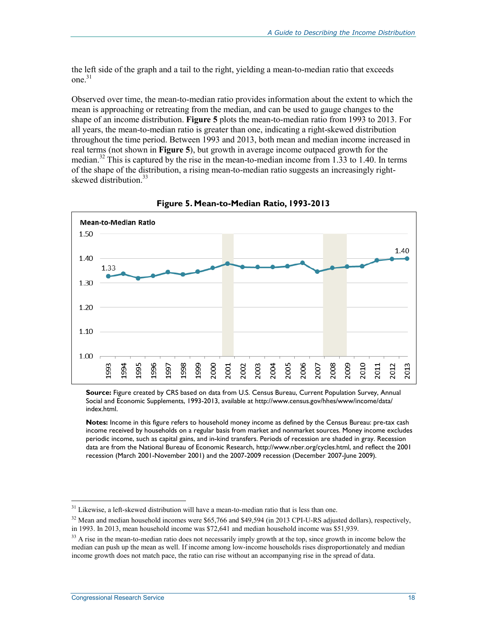the left side of the graph and a tail to the right, yielding a mean-to-median ratio that exceeds one. $31$ 

Observed over time, the mean-to-median ratio provides information about the extent to which the mean is approaching or retreating from the median, and can be used to gauge changes to the shape of an income distribution. **Figure 5** plots the mean-to-median ratio from 1993 to 2013. For all years, the mean-to-median ratio is greater than one, indicating a right-skewed distribution throughout the time period. Between 1993 and 2013, both mean and median income increased in real terms (not shown in **Figure 5**), but growth in average income outpaced growth for the median.<sup>32</sup> This is captured by the rise in the mean-to-median income from 1.33 to 1.40. In terms of the shape of the distribution, a rising mean-to-median ratio suggests an increasingly rightskewed distribution.<sup>33</sup>



**Figure 5. Mean-to-Median Ratio, 1993-2013** 

**Source:** Figure created by CRS based on data from U.S. Census Bureau, Current Population Survey, Annual Social and Economic Supplements, 1993-2013, available at http://www.census.gov/hhes/www/income/data/ index.html.

**Notes:** Income in this figure refers to household money income as defined by the Census Bureau: pre-tax cash income received by households on a regular basis from market and nonmarket sources. Money income excludes periodic income, such as capital gains, and in-kind transfers. Periods of recession are shaded in gray. Recession data are from the National Bureau of Economic Research, http://www.nber.org/cycles.html, and reflect the 2001 recession (March 2001-November 2001) and the 2007-2009 recession (December 2007-June 2009).

<sup>&</sup>lt;sup>31</sup> Likewise, a left-skewed distribution will have a mean-to-median ratio that is less than one.

<sup>&</sup>lt;sup>32</sup> Mean and median household incomes were \$65,766 and \$49,594 (in 2013 CPI-U-RS adjusted dollars), respectively, in 1993. In 2013, mean household income was \$72,641 and median household income was \$51,939.

<sup>&</sup>lt;sup>33</sup> A rise in the mean-to-median ratio does not necessarily imply growth at the top, since growth in income below the median can push up the mean as well. If income among low-income households rises disproportionately and median income growth does not match pace, the ratio can rise without an accompanying rise in the spread of data.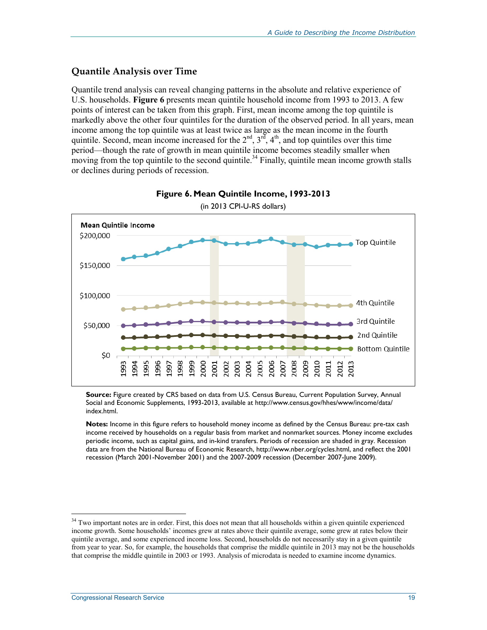#### **Quantile Analysis over Time**

Quantile trend analysis can reveal changing patterns in the absolute and relative experience of U.S. households. **Figure 6** presents mean quintile household income from 1993 to 2013. A few points of interest can be taken from this graph. First, mean income among the top quintile is markedly above the other four quintiles for the duration of the observed period. In all years, mean income among the top quintile was at least twice as large as the mean income in the fourth quintile. Second, mean income increased for the  $2<sup>nd</sup>$ ,  $3<sup>rd</sup>$ ,  $4<sup>th</sup>$ , and top quintiles over this time period—though the rate of growth in mean quintile income becomes steadily smaller when moving from the top quintile to the second quintile.<sup>34</sup> Finally, quintile mean income growth stalls or declines during periods of recession.





<sup>(</sup>in 2013 CPI-U-RS dollars)

**Source:** Figure created by CRS based on data from U.S. Census Bureau, Current Population Survey, Annual Social and Economic Supplements, 1993-2013, available at http://www.census.gov/hhes/www/income/data/ index.html.

**Notes:** Income in this figure refers to household money income as defined by the Census Bureau: pre-tax cash income received by households on a regular basis from market and nonmarket sources. Money income excludes periodic income, such as capital gains, and in-kind transfers. Periods of recession are shaded in gray. Recession data are from the National Bureau of Economic Research, http://www.nber.org/cycles.html, and reflect the 2001 recession (March 2001-November 2001) and the 2007-2009 recession (December 2007-June 2009).

<sup>&</sup>lt;sup>34</sup> Two important notes are in order. First, this does not mean that all households within a given quintile experienced income growth. Some households' incomes grew at rates above their quintile average, some grew at rates below their quintile average, and some experienced income loss. Second, households do not necessarily stay in a given quintile from year to year. So, for example, the households that comprise the middle quintile in 2013 may not be the households that comprise the middle quintile in 2003 or 1993. Analysis of microdata is needed to examine income dynamics.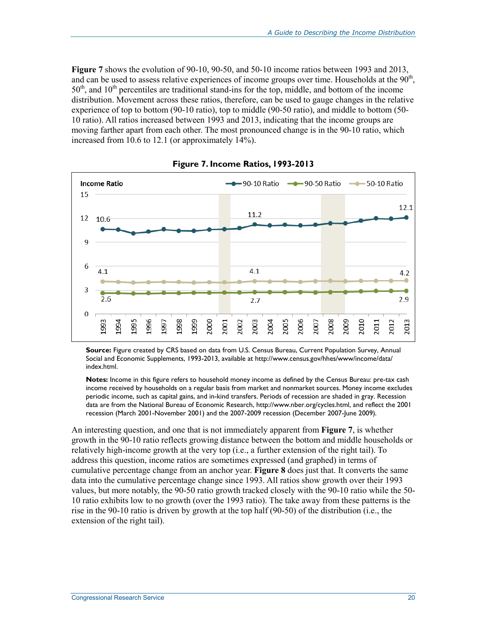**Figure 7** shows the evolution of 90-10, 90-50, and 50-10 income ratios between 1993 and 2013, and can be used to assess relative experiences of income groups over time. Households at the  $90<sup>th</sup>$ ,  $50<sup>th</sup>$ , and  $10<sup>th</sup>$  percentiles are traditional stand-ins for the top, middle, and bottom of the income distribution. Movement across these ratios, therefore, can be used to gauge changes in the relative experience of top to bottom (90-10 ratio), top to middle (90-50 ratio), and middle to bottom (50- 10 ratio). All ratios increased between 1993 and 2013, indicating that the income groups are moving farther apart from each other. The most pronounced change is in the 90-10 ratio, which increased from 10.6 to 12.1 (or approximately 14%).



**Figure 7. Income Ratios, 1993-2013** 

**Source:** Figure created by CRS based on data from U.S. Census Bureau, Current Population Survey, Annual Social and Economic Supplements, 1993-2013, available at http://www.census.gov/hhes/www/income/data/ index.html.

**Notes:** Income in this figure refers to household money income as defined by the Census Bureau: pre-tax cash income received by households on a regular basis from market and nonmarket sources. Money income excludes periodic income, such as capital gains, and in-kind transfers. Periods of recession are shaded in gray. Recession data are from the National Bureau of Economic Research, http://www.nber.org/cycles.html, and reflect the 2001 recession (March 2001-November 2001) and the 2007-2009 recession (December 2007-June 2009).

An interesting question, and one that is not immediately apparent from **Figure 7**, is whether growth in the 90-10 ratio reflects growing distance between the bottom and middle households or relatively high-income growth at the very top (i.e., a further extension of the right tail). To address this question, income ratios are sometimes expressed (and graphed) in terms of cumulative percentage change from an anchor year. **Figure 8** does just that. It converts the same data into the cumulative percentage change since 1993. All ratios show growth over their 1993 values, but more notably, the 90-50 ratio growth tracked closely with the 90-10 ratio while the 50- 10 ratio exhibits low to no growth (over the 1993 ratio). The take away from these patterns is the rise in the 90-10 ratio is driven by growth at the top half (90-50) of the distribution (i.e., the extension of the right tail).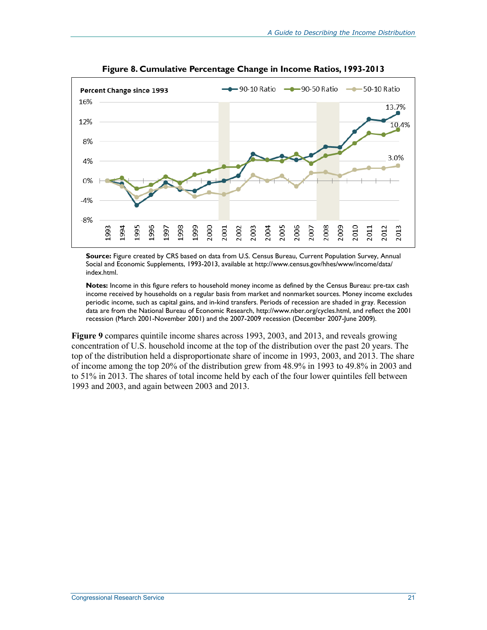

**Figure 8. Cumulative Percentage Change in Income Ratios, 1993-2013** 

**Source:** Figure created by CRS based on data from U.S. Census Bureau, Current Population Survey, Annual Social and Economic Supplements, 1993-2013, available at http://www.census.gov/hhes/www/income/data/ index.html.

**Notes:** Income in this figure refers to household money income as defined by the Census Bureau: pre-tax cash income received by households on a regular basis from market and nonmarket sources. Money income excludes periodic income, such as capital gains, and in-kind transfers. Periods of recession are shaded in gray. Recession data are from the National Bureau of Economic Research, http://www.nber.org/cycles.html, and reflect the 2001 recession (March 2001-November 2001) and the 2007-2009 recession (December 2007-June 2009).

**Figure 9** compares quintile income shares across 1993, 2003, and 2013, and reveals growing concentration of U.S. household income at the top of the distribution over the past 20 years. The top of the distribution held a disproportionate share of income in 1993, 2003, and 2013. The share of income among the top 20% of the distribution grew from 48.9% in 1993 to 49.8% in 2003 and to 51% in 2013. The shares of total income held by each of the four lower quintiles fell between 1993 and 2003, and again between 2003 and 2013.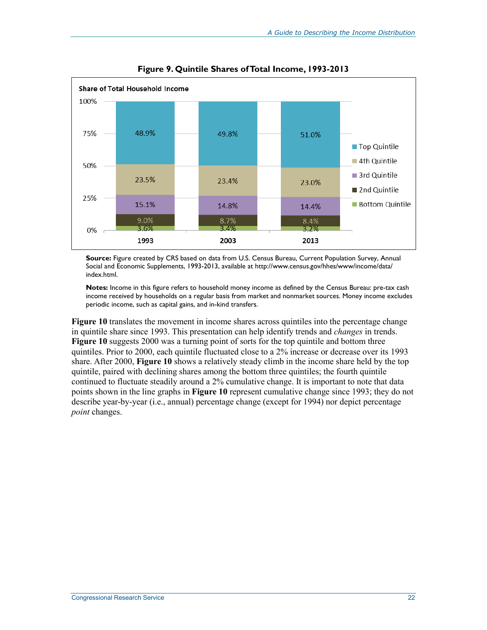

**Figure 9. Quintile Shares of Total Income, 1993-2013** 

**Source:** Figure created by CRS based on data from U.S. Census Bureau, Current Population Survey, Annual Social and Economic Supplements, 1993-2013, available at http://www.census.gov/hhes/www/income/data/ index.html.

**Notes:** Income in this figure refers to household money income as defined by the Census Bureau: pre-tax cash income received by households on a regular basis from market and nonmarket sources. Money income excludes periodic income, such as capital gains, and in-kind transfers.

**Figure 10** translates the movement in income shares across quintiles into the percentage change in quintile share since 1993. This presentation can help identify trends and *changes* in trends. **Figure 10** suggests 2000 was a turning point of sorts for the top quintile and bottom three quintiles. Prior to 2000, each quintile fluctuated close to a 2% increase or decrease over its 1993 share. After 2000, **Figure 10** shows a relatively steady climb in the income share held by the top quintile, paired with declining shares among the bottom three quintiles; the fourth quintile continued to fluctuate steadily around a 2% cumulative change. It is important to note that data points shown in the line graphs in **Figure 10** represent cumulative change since 1993; they do not describe year-by-year (i.e., annual) percentage change (except for 1994) nor depict percentage *point* changes.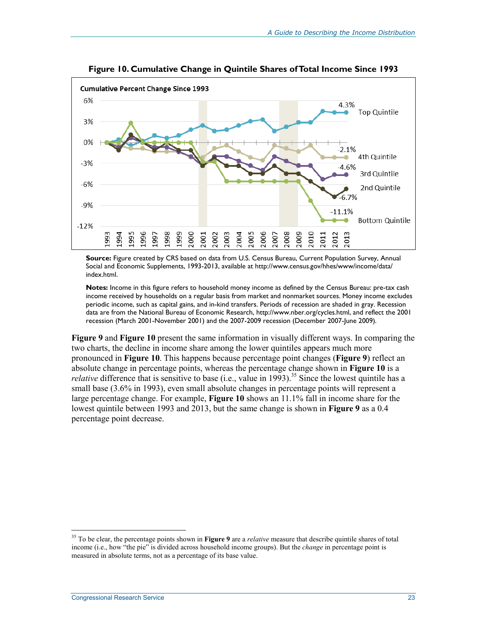

**Figure 10. Cumulative Change in Quintile Shares of Total Income Since 1993** 

**Source:** Figure created by CRS based on data from U.S. Census Bureau, Current Population Survey, Annual Social and Economic Supplements, 1993-2013, available at http://www.census.gov/hhes/www/income/data/ index.html.

**Notes:** Income in this figure refers to household money income as defined by the Census Bureau: pre-tax cash income received by households on a regular basis from market and nonmarket sources. Money income excludes periodic income, such as capital gains, and in-kind transfers. Periods of recession are shaded in gray. Recession data are from the National Bureau of Economic Research, http://www.nber.org/cycles.html, and reflect the 2001 recession (March 2001-November 2001) and the 2007-2009 recession (December 2007-June 2009).

**Figure 9** and **Figure 10** present the same information in visually different ways. In comparing the two charts, the decline in income share among the lower quintiles appears much more pronounced in **Figure 10**. This happens because percentage point changes (**Figure 9**) reflect an absolute change in percentage points, whereas the percentage change shown in **Figure 10** is a *relative* difference that is sensitive to base (i.e., value in 1993).<sup>35</sup> Since the lowest quintile has a small base (3.6% in 1993), even small absolute changes in percentage points will represent a large percentage change. For example, **Figure 10** shows an 11.1% fall in income share for the lowest quintile between 1993 and 2013, but the same change is shown in **Figure 9** as a 0.4 percentage point decrease.

<sup>35</sup> To be clear, the percentage points shown in **Figure 9** are a *relative* measure that describe quintile shares of total income (i.e., how "the pie" is divided across household income groups). But the *change* in percentage point is measured in absolute terms, not as a percentage of its base value.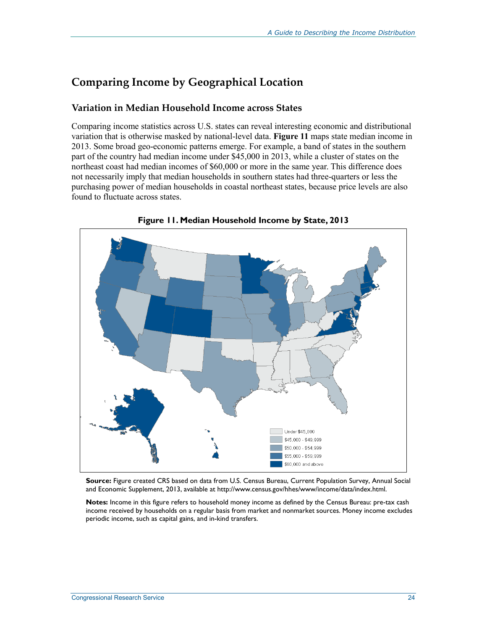### **Comparing Income by Geographical Location**

#### **Variation in Median Household Income across States**

Comparing income statistics across U.S. states can reveal interesting economic and distributional variation that is otherwise masked by national-level data. **Figure 11** maps state median income in 2013. Some broad geo-economic patterns emerge. For example, a band of states in the southern part of the country had median income under \$45,000 in 2013, while a cluster of states on the northeast coast had median incomes of \$60,000 or more in the same year. This difference does not necessarily imply that median households in southern states had three-quarters or less the purchasing power of median households in coastal northeast states, because price levels are also found to fluctuate across states.



**Figure 11. Median Household Income by State, 2013** 

**Source:** Figure created CRS based on data from U.S. Census Bureau, Current Population Survey, Annual Social and Economic Supplement, 2013, available at http://www.census.gov/hhes/www/income/data/index.html.

**Notes:** Income in this figure refers to household money income as defined by the Census Bureau: pre-tax cash income received by households on a regular basis from market and nonmarket sources. Money income excludes periodic income, such as capital gains, and in-kind transfers.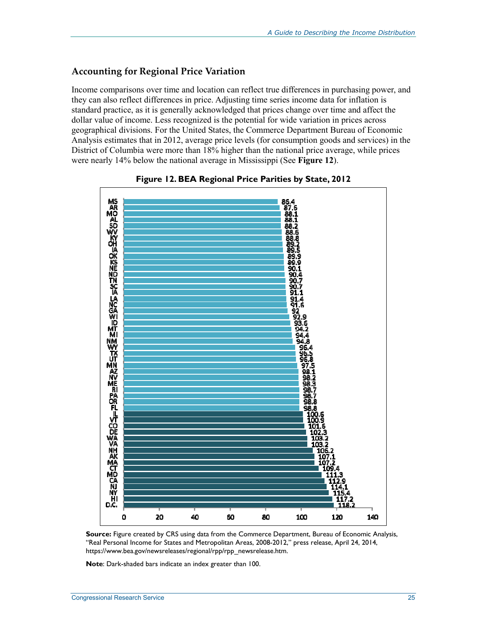#### **Accounting for Regional Price Variation**

Income comparisons over time and location can reflect true differences in purchasing power, and they can also reflect differences in price. Adjusting time series income data for inflation is standard practice, as it is generally acknowledged that prices change over time and affect the dollar value of income. Less recognized is the potential for wide variation in prices across geographical divisions. For the United States, the Commerce Department Bureau of Economic Analysis estimates that in 2012, average price levels (for consumption goods and services) in the District of Columbia were more than 18% higher than the national price average, while prices were nearly 14% below the national average in Mississippi (See **Figure 12**).



#### **Figure 12. BEA Regional Price Parities by State, 2012**

**Source:** Figure created by CRS using data from the Commerce Department, Bureau of Economic Analysis, "Real Personal Income for States and Metropolitan Areas, 2008-2012," press release, April 24, 2014, https://www.bea.gov/newsreleases/regional/rpp/rpp\_newsrelease.htm.

**Note**: Dark-shaded bars indicate an index greater than 100.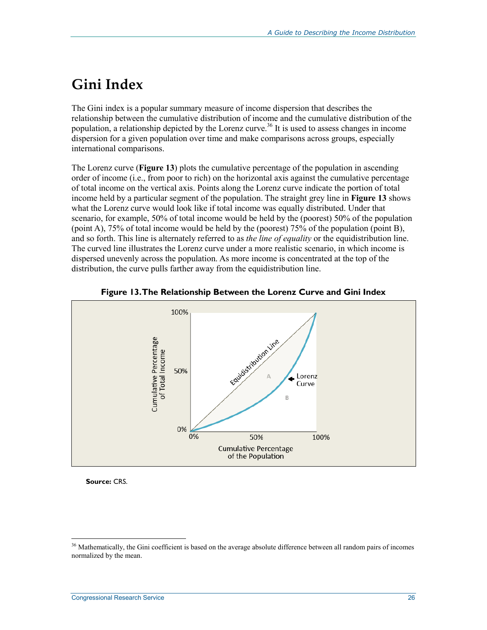## **Gini Index**

The Gini index is a popular summary measure of income dispersion that describes the relationship between the cumulative distribution of income and the cumulative distribution of the population, a relationship depicted by the Lorenz curve.<sup>36</sup> It is used to assess changes in income dispersion for a given population over time and make comparisons across groups, especially international comparisons.

The Lorenz curve (**Figure 13**) plots the cumulative percentage of the population in ascending order of income (i.e., from poor to rich) on the horizontal axis against the cumulative percentage of total income on the vertical axis. Points along the Lorenz curve indicate the portion of total income held by a particular segment of the population. The straight grey line in **Figure 13** shows what the Lorenz curve would look like if total income was equally distributed. Under that scenario, for example, 50% of total income would be held by the (poorest) 50% of the population (point A), 75% of total income would be held by the (poorest) 75% of the population (point B), and so forth. This line is alternately referred to as *the line of equality* or the equidistribution line. The curved line illustrates the Lorenz curve under a more realistic scenario, in which income is dispersed unevenly across the population. As more income is concentrated at the top of the distribution, the curve pulls farther away from the equidistribution line.





**Source:** CRS.

 $36$  Mathematically, the Gini coefficient is based on the average absolute difference between all random pairs of incomes normalized by the mean.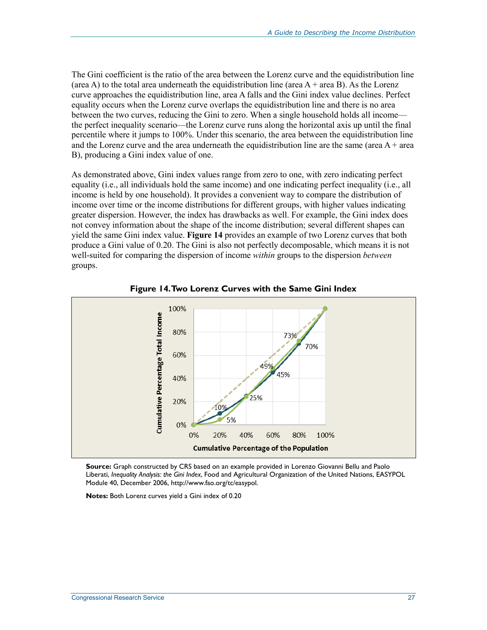The Gini coefficient is the ratio of the area between the Lorenz curve and the equidistribution line (area A) to the total area underneath the equidistribution line (area  $A + \text{area } B$ ). As the Lorenz curve approaches the equidistribution line, area A falls and the Gini index value declines. Perfect equality occurs when the Lorenz curve overlaps the equidistribution line and there is no area between the two curves, reducing the Gini to zero. When a single household holds all income the perfect inequality scenario—the Lorenz curve runs along the horizontal axis up until the final percentile where it jumps to 100%. Under this scenario, the area between the equidistribution line and the Lorenz curve and the area underneath the equidistribution line are the same (area  $A + \text{area}$ ) B), producing a Gini index value of one.

As demonstrated above, Gini index values range from zero to one, with zero indicating perfect equality (i.e., all individuals hold the same income) and one indicating perfect inequality (i.e., all income is held by one household). It provides a convenient way to compare the distribution of income over time or the income distributions for different groups, with higher values indicating greater dispersion. However, the index has drawbacks as well. For example, the Gini index does not convey information about the shape of the income distribution; several different shapes can yield the same Gini index value. **Figure 14** provides an example of two Lorenz curves that both produce a Gini value of 0.20. The Gini is also not perfectly decomposable, which means it is not well-suited for comparing the dispersion of income *within* groups to the dispersion *between* groups.



**Figure 14. Two Lorenz Curves with the Same Gini Index** 

**Source:** Graph constructed by CRS based on an example provided in Lorenzo Giovanni Bellu and Paolo Liberati, *Inequality Analysis: the Gini Index*, Food and Agricultural Organization of the United Nations, EASYPOL Module 40, December 2006, http://www.fao.org/tc/easypol.

**Notes:** Both Lorenz curves yield a Gini index of 0.20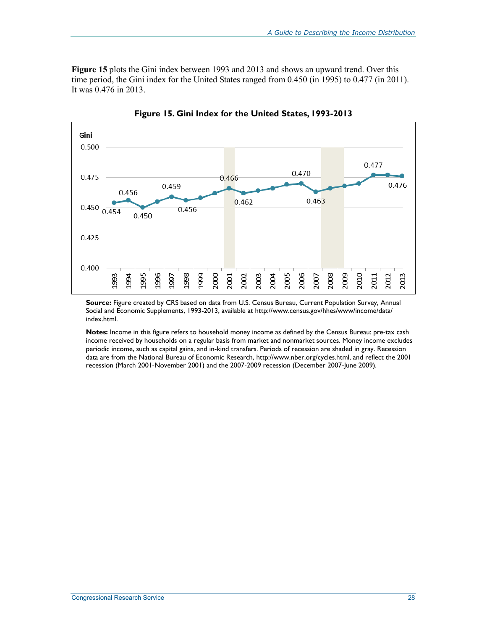**Figure 15** plots the Gini index between 1993 and 2013 and shows an upward trend. Over this time period, the Gini index for the United States ranged from 0.450 (in 1995) to 0.477 (in 2011). It was 0.476 in 2013.



**Figure 15. Gini Index for the United States, 1993-2013** 

**Source:** Figure created by CRS based on data from U.S. Census Bureau, Current Population Survey, Annual Social and Economic Supplements, 1993-2013, available at http://www.census.gov/hhes/www/income/data/ index.html.

**Notes:** Income in this figure refers to household money income as defined by the Census Bureau: pre-tax cash income received by households on a regular basis from market and nonmarket sources. Money income excludes periodic income, such as capital gains, and in-kind transfers. Periods of recession are shaded in gray. Recession data are from the National Bureau of Economic Research, http://www.nber.org/cycles.html, and reflect the 2001 recession (March 2001-November 2001) and the 2007-2009 recession (December 2007-June 2009).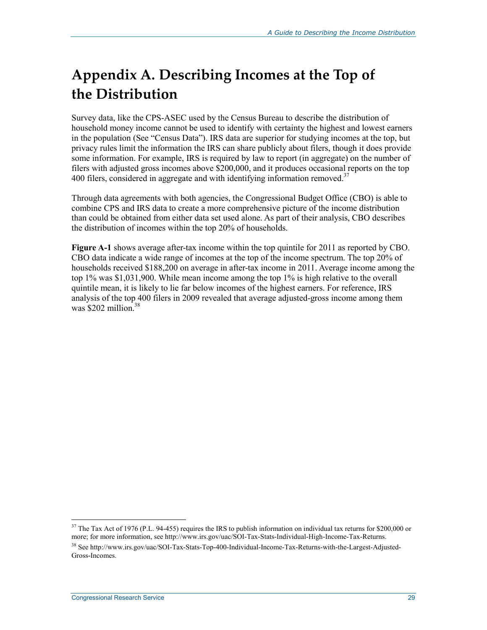# **Appendix A. Describing Incomes at the Top of the Distribution**

Survey data, like the CPS-ASEC used by the Census Bureau to describe the distribution of household money income cannot be used to identify with certainty the highest and lowest earners in the population (See "Census Data"). IRS data are superior for studying incomes at the top, but privacy rules limit the information the IRS can share publicly about filers, though it does provide some information. For example, IRS is required by law to report (in aggregate) on the number of filers with adjusted gross incomes above \$200,000, and it produces occasional reports on the top 400 filers, considered in aggregate and with identifying information removed.<sup>37</sup>

Through data agreements with both agencies, the Congressional Budget Office (CBO) is able to combine CPS and IRS data to create a more comprehensive picture of the income distribution than could be obtained from either data set used alone. As part of their analysis, CBO describes the distribution of incomes within the top 20% of households.

**Figure A-1** shows average after-tax income within the top quintile for 2011 as reported by CBO. CBO data indicate a wide range of incomes at the top of the income spectrum. The top 20% of households received \$188,200 on average in after-tax income in 2011. Average income among the top 1% was \$1,031,900. While mean income among the top 1% is high relative to the overall quintile mean, it is likely to lie far below incomes of the highest earners. For reference, IRS analysis of the top 400 filers in 2009 revealed that average adjusted-gross income among them was  $$202$  million.<sup>38</sup>

 $37$  The Tax Act of 1976 (P.L. 94-455) requires the IRS to publish information on individual tax returns for \$200,000 or more; for more information, see http://www.irs.gov/uac/SOI-Tax-Stats-Individual-High-Income-Tax-Returns. 38 See http://www.irs.gov/uac/SOI-Tax-Stats-Top-400-Individual-Income-Tax-Returns-with-the-Largest-Adjusted-Gross-Incomes.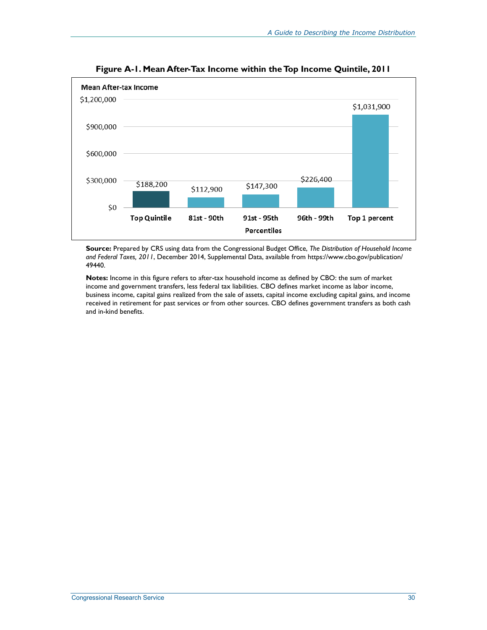

**Figure A-1. Mean After-Tax Income within the Top Income Quintile, 2011** 

**Source:** Prepared by CRS using data from the Congressional Budget Office, *The Distribution of Household Income and Federal Taxes, 2011*, December 2014, Supplemental Data, available from https://www.cbo.gov/publication/ 49440.

**Notes:** Income in this figure refers to after-tax household income as defined by CBO: the sum of market income and government transfers, less federal tax liabilities. CBO defines market income as labor income, business income, capital gains realized from the sale of assets, capital income excluding capital gains, and income received in retirement for past services or from other sources. CBO defines government transfers as both cash and in-kind benefits.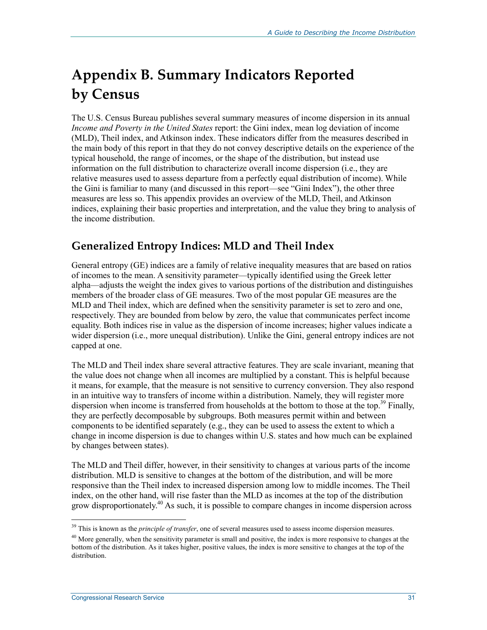# **Appendix B. Summary Indicators Reported by Census**

The U.S. Census Bureau publishes several summary measures of income dispersion in its annual *Income and Poverty in the United States* report: the Gini index, mean log deviation of income (MLD), Theil index, and Atkinson index. These indicators differ from the measures described in the main body of this report in that they do not convey descriptive details on the experience of the typical household, the range of incomes, or the shape of the distribution, but instead use information on the full distribution to characterize overall income dispersion (i.e., they are relative measures used to assess departure from a perfectly equal distribution of income). While the Gini is familiar to many (and discussed in this report—see "Gini Index"), the other three measures are less so. This appendix provides an overview of the MLD, Theil, and Atkinson indices, explaining their basic properties and interpretation, and the value they bring to analysis of the income distribution.

### **Generalized Entropy Indices: MLD and Theil Index**

General entropy (GE) indices are a family of relative inequality measures that are based on ratios of incomes to the mean. A sensitivity parameter—typically identified using the Greek letter alpha—adjusts the weight the index gives to various portions of the distribution and distinguishes members of the broader class of GE measures. Two of the most popular GE measures are the MLD and Theil index, which are defined when the sensitivity parameter is set to zero and one, respectively. They are bounded from below by zero, the value that communicates perfect income equality. Both indices rise in value as the dispersion of income increases; higher values indicate a wider dispersion (i.e., more unequal distribution). Unlike the Gini, general entropy indices are not capped at one.

The MLD and Theil index share several attractive features. They are scale invariant, meaning that the value does not change when all incomes are multiplied by a constant. This is helpful because it means, for example, that the measure is not sensitive to currency conversion. They also respond in an intuitive way to transfers of income within a distribution. Namely, they will register more dispersion when income is transferred from households at the bottom to those at the top.<sup>39</sup> Finally, they are perfectly decomposable by subgroups. Both measures permit within and between components to be identified separately (e.g., they can be used to assess the extent to which a change in income dispersion is due to changes within U.S. states and how much can be explained by changes between states).

The MLD and Theil differ, however, in their sensitivity to changes at various parts of the income distribution. MLD is sensitive to changes at the bottom of the distribution, and will be more responsive than the Theil index to increased dispersion among low to middle incomes. The Theil index, on the other hand, will rise faster than the MLD as incomes at the top of the distribution grow disproportionately.<sup>40</sup> As such, it is possible to compare changes in income dispersion across

<sup>&</sup>lt;sup>39</sup> This is known as the *principle of transfer*, one of several measures used to assess income dispersion measures.

<sup>&</sup>lt;sup>40</sup> More generally, when the sensitivity parameter is small and positive, the index is more responsive to changes at the bottom of the distribution. As it takes higher, positive values, the index is more sensitive to changes at the top of the distribution.